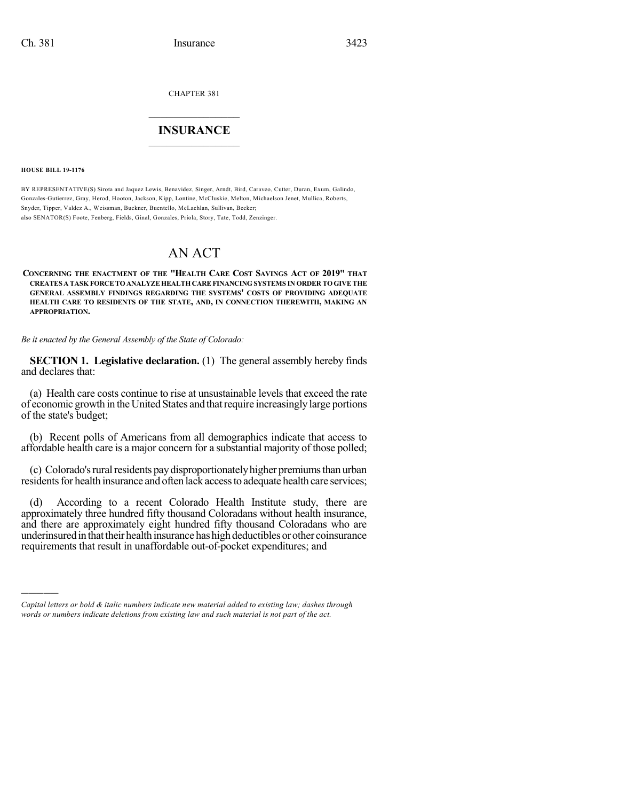CHAPTER 381

## $\overline{\phantom{a}}$  . The set of the set of the set of the set of the set of the set of the set of the set of the set of the set of the set of the set of the set of the set of the set of the set of the set of the set of the set o **INSURANCE**  $\frac{1}{2}$  ,  $\frac{1}{2}$  ,  $\frac{1}{2}$  ,  $\frac{1}{2}$  ,  $\frac{1}{2}$  ,  $\frac{1}{2}$  ,  $\frac{1}{2}$

**HOUSE BILL 19-1176**

)))))

BY REPRESENTATIVE(S) Sirota and Jaquez Lewis, Benavidez, Singer, Arndt, Bird, Caraveo, Cutter, Duran, Exum, Galindo, Gonzales-Gutierrez, Gray, Herod, Hooton, Jackson, Kipp, Lontine, McCluskie, Melton, Michaelson Jenet, Mullica, Roberts, Snyder, Tipper, Valdez A., Weissman, Buckner, Buentello, McLachlan, Sullivan, Becker; also SENATOR(S) Foote, Fenberg, Fields, Ginal, Gonzales, Priola, Story, Tate, Todd, Zenzinger.

## AN ACT

**CONCERNING THE ENACTMENT OF THE "HEALTH CARE COST SAVINGS ACT OF 2019" THAT CREATES A TASK FORCETOANALYZEHEALTHCAREFINANCING SYSTEMS IN ORDER TOGIVETHE GENERAL ASSEMBLY FINDINGS REGARDING THE SYSTEMS' COSTS OF PROVIDING ADEQUATE HEALTH CARE TO RESIDENTS OF THE STATE, AND, IN CONNECTION THEREWITH, MAKING AN APPROPRIATION.**

*Be it enacted by the General Assembly of the State of Colorado:*

**SECTION 1. Legislative declaration.** (1) The general assembly hereby finds and declares that:

(a) Health care costs continue to rise at unsustainable levels that exceed the rate of economic growth in the United States and that require increasingly large portions of the state's budget;

(b) Recent polls of Americans from all demographics indicate that access to affordable health care is a major concern for a substantial majority of those polled;

(c) Colorado's rural residents pay disproportionately higher premiums than urban residents for health insurance and often lack access to adequate health care services;

(d) According to a recent Colorado Health Institute study, there are approximately three hundred fifty thousand Coloradans without health insurance, and there are approximately eight hundred fifty thousand Coloradans who are underinsured in that their health insurance has high deductibles or other coinsurance requirements that result in unaffordable out-of-pocket expenditures; and

*Capital letters or bold & italic numbers indicate new material added to existing law; dashes through words or numbers indicate deletions from existing law and such material is not part of the act.*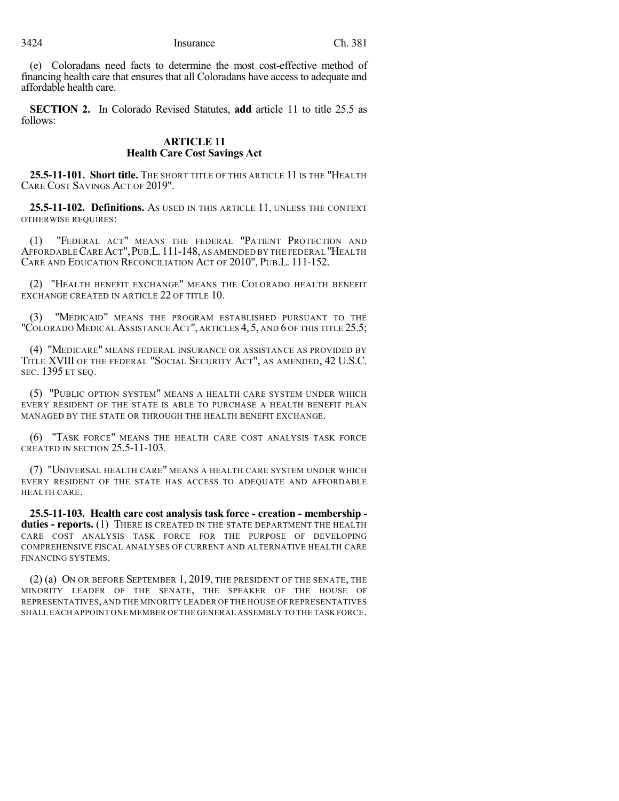(e) Coloradans need facts to determine the most cost-effective method of financing health care that ensures that all Coloradans have access to adequate and affordable health care.

**SECTION 2.** In Colorado Revised Statutes, **add** article 11 to title 25.5 as follows:

## **ARTICLE 11 Health Care Cost Savings Act**

**25.5-11-101. Short title.** THE SHORT TITLE OF THIS ARTICLE 11 IS THE "HEALTH CARE COST SAVINGS ACT OF 2019".

**25.5-11-102. Definitions.** AS USED IN THIS ARTICLE 11, UNLESS THE CONTEXT OTHERWISE REQUIRES:

(1) "FEDERAL ACT" MEANS THE FEDERAL "PATIENT PROTECTION AND AFFORDABLECAREACT",PUB.L.111-148, AS AMENDED BY THE FEDERAL "HEALTH CARE AND EDUCATION RECONCILIATION ACT OF 2010", PUB.L. 111-152.

(2) "HEALTH BENEFIT EXCHANGE" MEANS THE COLORADO HEALTH BENEFIT EXCHANGE CREATED IN ARTICLE 22 OF TITLE 10.

(3) "MEDICAID" MEANS THE PROGRAM ESTABLISHED PURSUANT TO THE "COLORADO MEDICAL ASSISTANCE ACT", ARTICLES 4, 5, AND 6 OF THIS TITLE 25.5;

(4) "MEDICARE" MEANS FEDERAL INSURANCE OR ASSISTANCE AS PROVIDED BY TITLE XVIII OF THE FEDERAL "SOCIAL SECURITY ACT", AS AMENDED, 42 U.S.C. SEC. 1395 ET SEQ.

(5) "PUBLIC OPTION SYSTEM" MEANS A HEALTH CARE SYSTEM UNDER WHICH EVERY RESIDENT OF THE STATE IS ABLE TO PURCHASE A HEALTH BENEFIT PLAN MANAGED BY THE STATE OR THROUGH THE HEALTH BENEFIT EXCHANGE.

(6) "TASK FORCE" MEANS THE HEALTH CARE COST ANALYSIS TASK FORCE CREATED IN SECTION 25.5-11-103.

(7) "UNIVERSAL HEALTH CARE" MEANS A HEALTH CARE SYSTEM UNDER WHICH EVERY RESIDENT OF THE STATE HAS ACCESS TO ADEQUATE AND AFFORDABLE HEALTH CARE.

**25.5-11-103. Health care cost analysis task force - creation - membership duties - reports.** (1) THERE IS CREATED IN THE STATE DEPARTMENT THE HEALTH CARE COST ANALYSIS TASK FORCE FOR THE PURPOSE OF DEVELOPING COMPREHENSIVE FISCAL ANALYSES OF CURRENT AND ALTERNATIVE HEALTH CARE FINANCING SYSTEMS.

(2) (a) ON OR BEFORE SEPTEMBER 1, 2019, THE PRESIDENT OF THE SENATE, THE MINORITY LEADER OF THE SENATE, THE SPEAKER OF THE HOUSE OF REPRESENTATIVES,AND THE MINORITY LEADER OF THE HOUSE OF REPRESENTATIVES SHALL EACH APPOINT ONE MEMBER OF THE GENERAL ASSEMBLY TO THE TASK FORCE.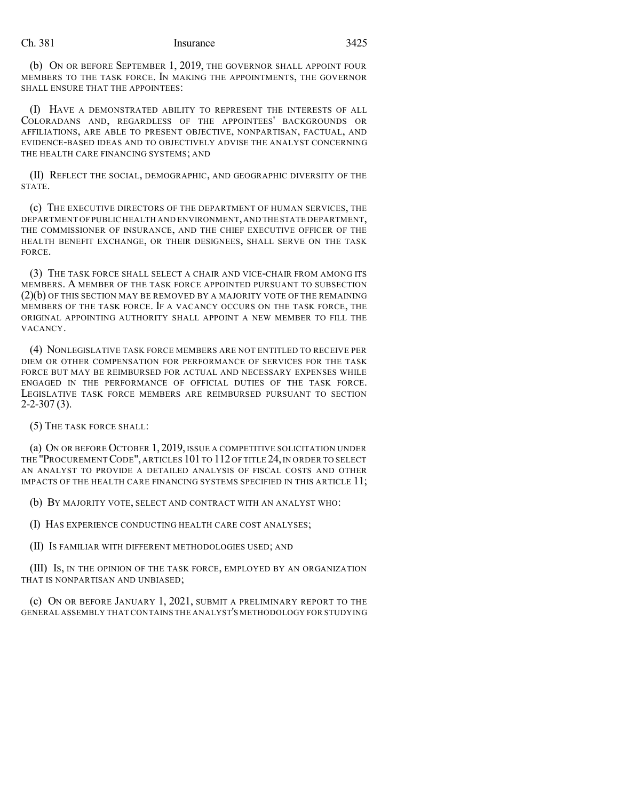## Ch. 381 Insurance 3425

(b) ON OR BEFORE SEPTEMBER 1, 2019, THE GOVERNOR SHALL APPOINT FOUR MEMBERS TO THE TASK FORCE. IN MAKING THE APPOINTMENTS, THE GOVERNOR SHALL ENSURE THAT THE APPOINTEES:

(I) HAVE A DEMONSTRATED ABILITY TO REPRESENT THE INTERESTS OF ALL COLORADANS AND, REGARDLESS OF THE APPOINTEES' BACKGROUNDS OR AFFILIATIONS, ARE ABLE TO PRESENT OBJECTIVE, NONPARTISAN, FACTUAL, AND EVIDENCE-BASED IDEAS AND TO OBJECTIVELY ADVISE THE ANALYST CONCERNING THE HEALTH CARE FINANCING SYSTEMS; AND

(II) REFLECT THE SOCIAL, DEMOGRAPHIC, AND GEOGRAPHIC DIVERSITY OF THE STATE.

(c) THE EXECUTIVE DIRECTORS OF THE DEPARTMENT OF HUMAN SERVICES, THE DEPARTMENT OF PUBLIC HEALTH AND ENVIRONMENT,AND THE STATE DEPARTMENT, THE COMMISSIONER OF INSURANCE, AND THE CHIEF EXECUTIVE OFFICER OF THE HEALTH BENEFIT EXCHANGE, OR THEIR DESIGNEES, SHALL SERVE ON THE TASK FORCE.

(3) THE TASK FORCE SHALL SELECT A CHAIR AND VICE-CHAIR FROM AMONG ITS MEMBERS. A MEMBER OF THE TASK FORCE APPOINTED PURSUANT TO SUBSECTION  $(2)(b)$  OF THIS SECTION MAY BE REMOVED BY A MAJORITY VOTE OF THE REMAINING MEMBERS OF THE TASK FORCE. IF A VACANCY OCCURS ON THE TASK FORCE, THE ORIGINAL APPOINTING AUTHORITY SHALL APPOINT A NEW MEMBER TO FILL THE VACANCY.

(4) NONLEGISLATIVE TASK FORCE MEMBERS ARE NOT ENTITLED TO RECEIVE PER DIEM OR OTHER COMPENSATION FOR PERFORMANCE OF SERVICES FOR THE TASK FORCE BUT MAY BE REIMBURSED FOR ACTUAL AND NECESSARY EXPENSES WHILE ENGAGED IN THE PERFORMANCE OF OFFICIAL DUTIES OF THE TASK FORCE. LEGISLATIVE TASK FORCE MEMBERS ARE REIMBURSED PURSUANT TO SECTION 2-2-307 (3).

(5) THE TASK FORCE SHALL:

(a) ON OR BEFORE OCTOBER 1, 2019, ISSUE A COMPETITIVE SOLICITATION UNDER THE "PROCUREMENT CODE", ARTICLES 101 TO 112 OF TITLE 24, IN ORDER TO SELECT AN ANALYST TO PROVIDE A DETAILED ANALYSIS OF FISCAL COSTS AND OTHER IMPACTS OF THE HEALTH CARE FINANCING SYSTEMS SPECIFIED IN THIS ARTICLE 11;

(b) BY MAJORITY VOTE, SELECT AND CONTRACT WITH AN ANALYST WHO:

(I) HAS EXPERIENCE CONDUCTING HEALTH CARE COST ANALYSES;

(II) IS FAMILIAR WITH DIFFERENT METHODOLOGIES USED; AND

(III) IS, IN THE OPINION OF THE TASK FORCE, EMPLOYED BY AN ORGANIZATION THAT IS NONPARTISAN AND UNBIASED;

(c) ON OR BEFORE JANUARY 1, 2021, SUBMIT A PRELIMINARY REPORT TO THE GENERAL ASSEMBLY THAT CONTAINS THE ANALYST'S METHODOLOGY FOR STUDYING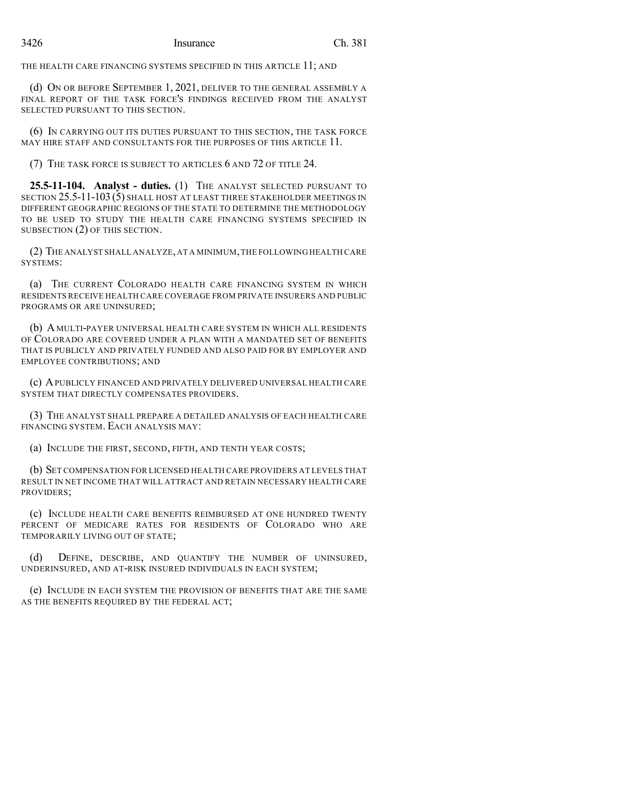THE HEALTH CARE FINANCING SYSTEMS SPECIFIED IN THIS ARTICLE 11; AND

(d) ON OR BEFORE SEPTEMBER 1, 2021, DELIVER TO THE GENERAL ASSEMBLY A FINAL REPORT OF THE TASK FORCE'S FINDINGS RECEIVED FROM THE ANALYST SELECTED PURSUANT TO THIS SECTION.

(6) IN CARRYING OUT ITS DUTIES PURSUANT TO THIS SECTION, THE TASK FORCE MAY HIRE STAFF AND CONSULTANTS FOR THE PURPOSES OF THIS ARTICLE 11.

(7) THE TASK FORCE IS SUBJECT TO ARTICLES 6 AND 72 OF TITLE 24.

**25.5-11-104. Analyst - duties.** (1) THE ANALYST SELECTED PURSUANT TO SECTION 25.5-11-103 (5) SHALL HOST AT LEAST THREE STAKEHOLDER MEETINGS IN DIFFERENT GEOGRAPHIC REGIONS OF THE STATE TO DETERMINE THE METHODOLOGY TO BE USED TO STUDY THE HEALTH CARE FINANCING SYSTEMS SPECIFIED IN SUBSECTION (2) OF THIS SECTION.

(2) THE ANALYST SHALL ANALYZE,AT A MINIMUM,THE FOLLOWING HEALTH CARE SYSTEMS:

(a) THE CURRENT COLORADO HEALTH CARE FINANCING SYSTEM IN WHICH RESIDENTS RECEIVE HEALTH CARE COVERAGE FROM PRIVATE INSURERS AND PUBLIC PROGRAMS OR ARE UNINSURED;

(b) A MULTI-PAYER UNIVERSAL HEALTH CARE SYSTEM IN WHICH ALL RESIDENTS OF COLORADO ARE COVERED UNDER A PLAN WITH A MANDATED SET OF BENEFITS THAT IS PUBLICLY AND PRIVATELY FUNDED AND ALSO PAID FOR BY EMPLOYER AND EMPLOYEE CONTRIBUTIONS; AND

(c) APUBLICLY FINANCED AND PRIVATELY DELIVERED UNIVERSAL HEALTH CARE SYSTEM THAT DIRECTLY COMPENSATES PROVIDERS.

(3) THE ANALYST SHALL PREPARE A DETAILED ANALYSIS OF EACH HEALTH CARE FINANCING SYSTEM. EACH ANALYSIS MAY:

(a) INCLUDE THE FIRST, SECOND, FIFTH, AND TENTH YEAR COSTS;

(b) SET COMPENSATION FOR LICENSED HEALTH CARE PROVIDERS AT LEVELS THAT RESULT IN NET INCOME THAT WILL ATTRACT AND RETAIN NECESSARY HEALTH CARE PROVIDERS;

(c) INCLUDE HEALTH CARE BENEFITS REIMBURSED AT ONE HUNDRED TWENTY PERCENT OF MEDICARE RATES FOR RESIDENTS OF COLORADO WHO ARE TEMPORARILY LIVING OUT OF STATE;

(d) DEFINE, DESCRIBE, AND QUANTIFY THE NUMBER OF UNINSURED, UNDERINSURED, AND AT-RISK INSURED INDIVIDUALS IN EACH SYSTEM;

(e) INCLUDE IN EACH SYSTEM THE PROVISION OF BENEFITS THAT ARE THE SAME AS THE BENEFITS REQUIRED BY THE FEDERAL ACT;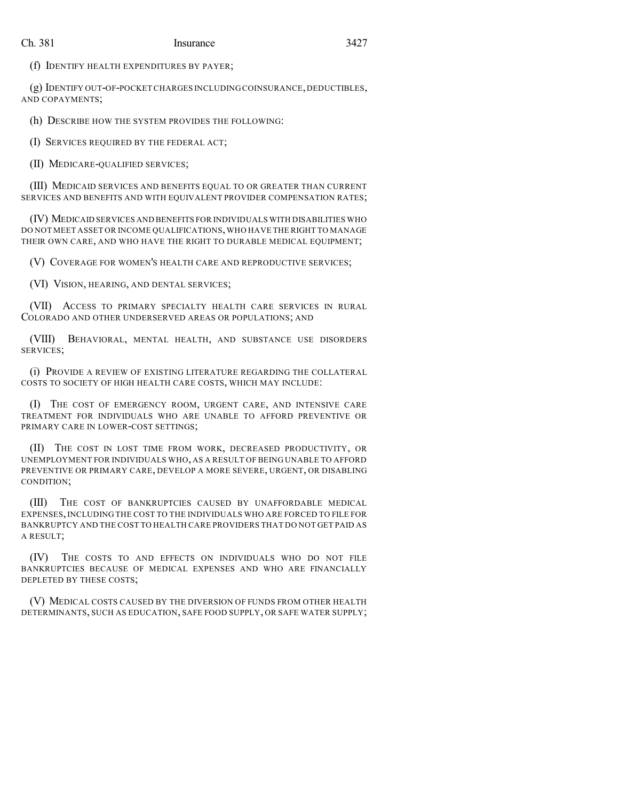(f) IDENTIFY HEALTH EXPENDITURES BY PAYER;

(g) IDENTIFY OUT-OF-POCKET CHARGES INCLUDING COINSURANCE,DEDUCTIBLES, AND COPAYMENTS;

(h) DESCRIBE HOW THE SYSTEM PROVIDES THE FOLLOWING:

(I) SERVICES REQUIRED BY THE FEDERAL ACT;

(II) MEDICARE-QUALIFIED SERVICES;

(III) MEDICAID SERVICES AND BENEFITS EQUAL TO OR GREATER THAN CURRENT SERVICES AND BENEFITS AND WITH EQUIVALENT PROVIDER COMPENSATION RATES;

(IV) MEDICAID SERVICES AND BENEFITS FOR INDIVIDUALS WITH DISABILITIES WHO DO NOT MEET ASSET OR INCOME QUALIFICATIONS,WHO HAVE THE RIGHT TO MANAGE THEIR OWN CARE, AND WHO HAVE THE RIGHT TO DURABLE MEDICAL EQUIPMENT;

(V) COVERAGE FOR WOMEN'S HEALTH CARE AND REPRODUCTIVE SERVICES;

(VI) VISION, HEARING, AND DENTAL SERVICES;

(VII) ACCESS TO PRIMARY SPECIALTY HEALTH CARE SERVICES IN RURAL COLORADO AND OTHER UNDERSERVED AREAS OR POPULATIONS; AND

(VIII) BEHAVIORAL, MENTAL HEALTH, AND SUBSTANCE USE DISORDERS SERVICES;

(i) PROVIDE A REVIEW OF EXISTING LITERATURE REGARDING THE COLLATERAL COSTS TO SOCIETY OF HIGH HEALTH CARE COSTS, WHICH MAY INCLUDE:

(I) THE COST OF EMERGENCY ROOM, URGENT CARE, AND INTENSIVE CARE TREATMENT FOR INDIVIDUALS WHO ARE UNABLE TO AFFORD PREVENTIVE OR PRIMARY CARE IN LOWER-COST SETTINGS;

(II) THE COST IN LOST TIME FROM WORK, DECREASED PRODUCTIVITY, OR UNEMPLOYMENT FOR INDIVIDUALS WHO, AS A RESULT OF BEING UNABLE TO AFFORD PREVENTIVE OR PRIMARY CARE, DEVELOP A MORE SEVERE, URGENT, OR DISABLING CONDITION;

(III) THE COST OF BANKRUPTCIES CAUSED BY UNAFFORDABLE MEDICAL EXPENSES, INCLUDING THE COST TO THE INDIVIDUALS WHO ARE FORCED TO FILE FOR BANKRUPTCY AND THE COST TO HEALTH CARE PROVIDERS THAT DO NOT GET PAID AS A RESULT;

(IV) THE COSTS TO AND EFFECTS ON INDIVIDUALS WHO DO NOT FILE BANKRUPTCIES BECAUSE OF MEDICAL EXPENSES AND WHO ARE FINANCIALLY DEPLETED BY THESE COSTS;

(V) MEDICAL COSTS CAUSED BY THE DIVERSION OF FUNDS FROM OTHER HEALTH DETERMINANTS, SUCH AS EDUCATION, SAFE FOOD SUPPLY, OR SAFE WATER SUPPLY;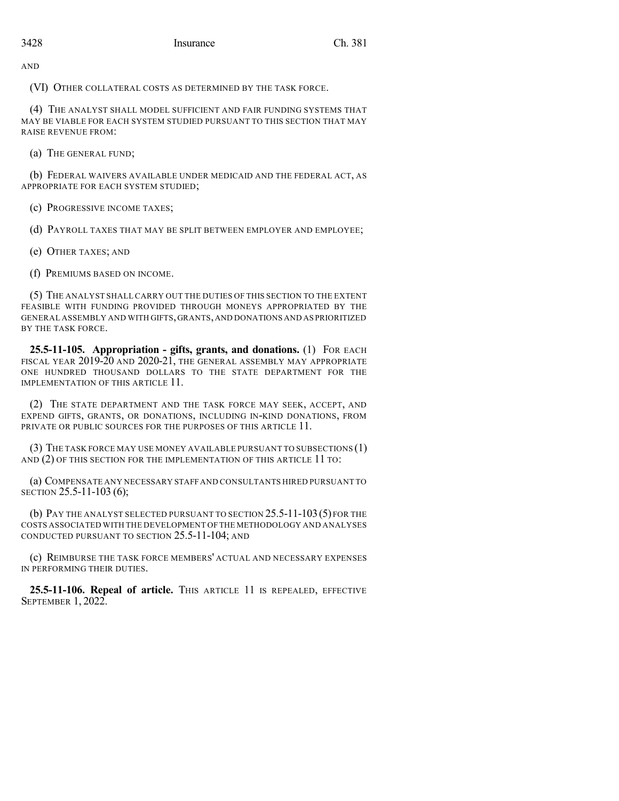AND

(VI) OTHER COLLATERAL COSTS AS DETERMINED BY THE TASK FORCE.

(4) THE ANALYST SHALL MODEL SUFFICIENT AND FAIR FUNDING SYSTEMS THAT MAY BE VIABLE FOR EACH SYSTEM STUDIED PURSUANT TO THIS SECTION THAT MAY RAISE REVENUE FROM:

(a) THE GENERAL FUND;

(b) FEDERAL WAIVERS AVAILABLE UNDER MEDICAID AND THE FEDERAL ACT, AS APPROPRIATE FOR EACH SYSTEM STUDIED;

(c) PROGRESSIVE INCOME TAXES;

(d) PAYROLL TAXES THAT MAY BE SPLIT BETWEEN EMPLOYER AND EMPLOYEE;

(e) OTHER TAXES; AND

(f) PREMIUMS BASED ON INCOME.

(5) THE ANALYST SHALL CARRY OUT THE DUTIES OF THIS SECTION TO THE EXTENT FEASIBLE WITH FUNDING PROVIDED THROUGH MONEYS APPROPRIATED BY THE GENERAL ASSEMBLY AND WITH GIFTS,GRANTS,AND DONATIONS AND AS PRIORITIZED BY THE TASK FORCE.

**25.5-11-105. Appropriation - gifts, grants, and donations.** (1) FOR EACH FISCAL YEAR 2019-20 AND 2020-21, THE GENERAL ASSEMBLY MAY APPROPRIATE ONE HUNDRED THOUSAND DOLLARS TO THE STATE DEPARTMENT FOR THE IMPLEMENTATION OF THIS ARTICLE 11.

(2) THE STATE DEPARTMENT AND THE TASK FORCE MAY SEEK, ACCEPT, AND EXPEND GIFTS, GRANTS, OR DONATIONS, INCLUDING IN-KIND DONATIONS, FROM PRIVATE OR PUBLIC SOURCES FOR THE PURPOSES OF THIS ARTICLE 11.

(3) THE TASK FORCE MAY USE MONEY AVAILABLE PURSUANT TO SUBSECTIONS (1) AND (2) OF THIS SECTION FOR THE IMPLEMENTATION OF THIS ARTICLE 11 TO:

(a) COMPENSATE ANY NECESSARY STAFF AND CONSULTANTS HIRED PURSUANT TO SECTION 25.5-11-103 (6);

(b) PAY THE ANALYST SELECTED PURSUANT TO SECTION 25.5-11-103(5) FOR THE COSTS ASSOCIATED WITH THE DEVELOPMENT OF THE METHODOLOGY AND ANALYSES CONDUCTED PURSUANT TO SECTION 25.5-11-104; AND

(c) REIMBURSE THE TASK FORCE MEMBERS' ACTUAL AND NECESSARY EXPENSES IN PERFORMING THEIR DUTIES.

**25.5-11-106. Repeal of article.** THIS ARTICLE 11 IS REPEALED, EFFECTIVE SEPTEMBER 1, 2022.